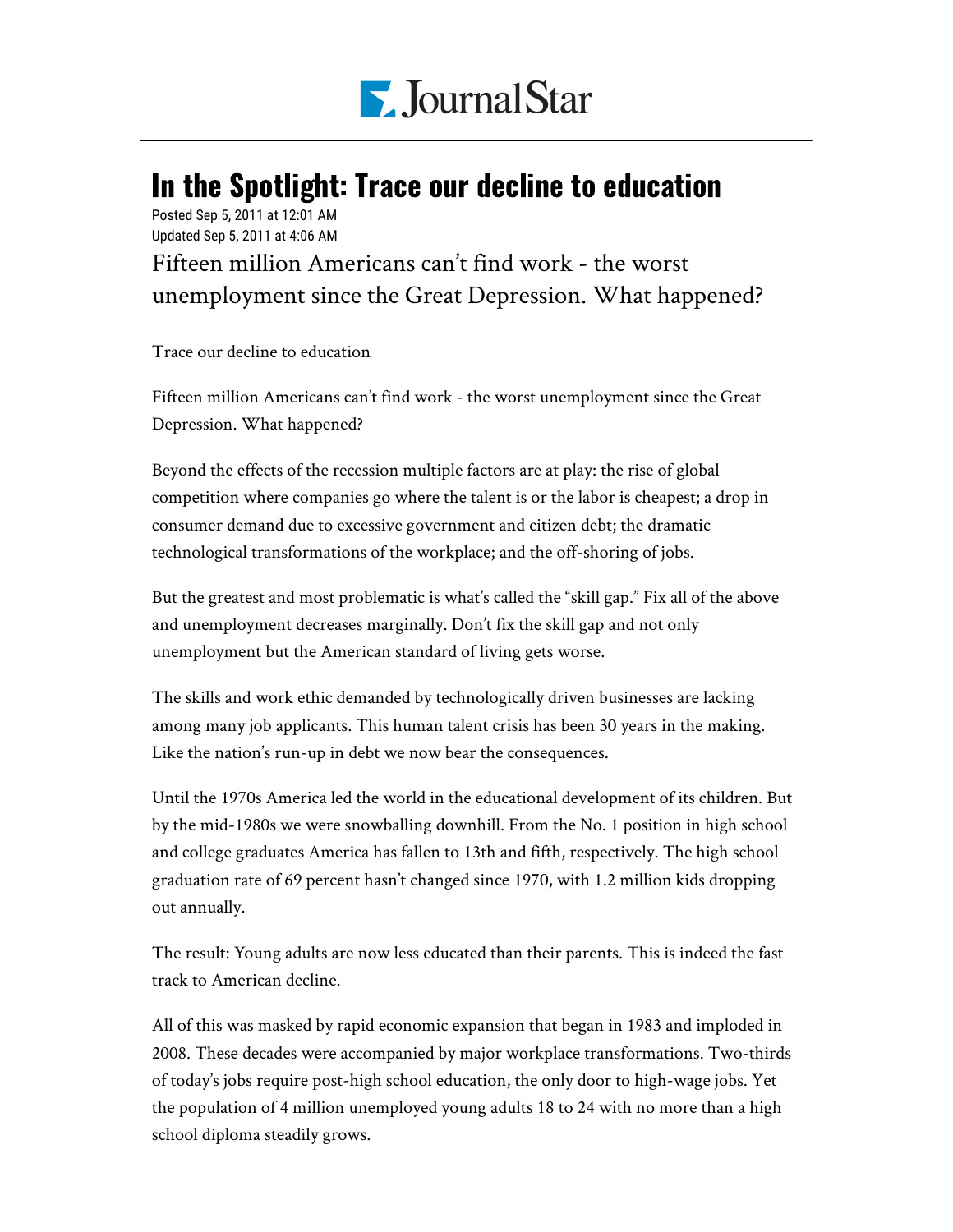

## In the Spotlight: Trace our decline to education

Posted Sep 5, 2011 at 12:01 AM Updated Sep 5, 2011 at 4:06 AM

Fifteen million Americans can't find work - the worst unemployment since the Great Depression. What happened?

Trace our decline to education

Fifteen million Americans can't find work - the worst unemployment since the Great Depression. What happened?

Beyond the effects of the recession multiple factors are at play: the rise of global competition where companies go where the talent is or the labor is cheapest; a drop in consumer demand due to excessive government and citizen debt; the dramatic technological transformations of the workplace; and the off-shoring of jobs.

But the greatest and most problematic is what's called the "skill gap." Fix all of the above and unemployment decreases marginally. Don't fix the skill gap and not only unemployment but the American standard of living gets worse.

The skills and work ethic demanded by technologically driven businesses are lacking among many job applicants. This human talent crisis has been 30 years in the making. Like the nation's run-up in debt we now bear the consequences.

Until the 1970s America led the world in the educational development of its children. But by the mid-1980s we were snowballing downhill. From the No. 1 position in high school and college graduates America has fallen to 13th and fifth, respectively. The high school graduation rate of 69 percent hasn't changed since 1970, with 1.2 million kids dropping out annually.

The result: Young adults are now less educated than their parents. This is indeed the fast track to American decline.

All of this was masked by rapid economic expansion that began in 1983 and imploded in 2008. These decades were accompanied by major workplace transformations. Two-thirds of today's jobs require post-high school education, the only door to high-wage jobs. Yet the population of 4 million unemployed young adults 18 to 24 with no more than a high school diploma steadily grows.